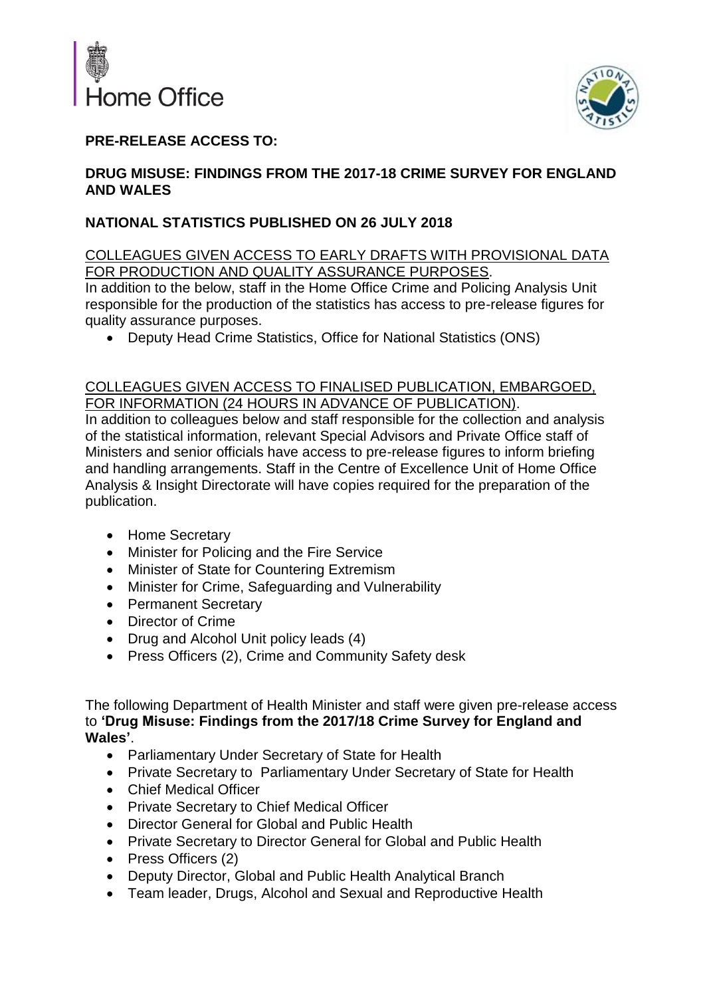



# **PRE-RELEASE ACCESS TO:**

### **DRUG MISUSE: FINDINGS FROM THE 2017-18 CRIME SURVEY FOR ENGLAND AND WALES**

## **NATIONAL STATISTICS PUBLISHED ON 26 JULY 2018**

### COLLEAGUES GIVEN ACCESS TO EARLY DRAFTS WITH PROVISIONAL DATA FOR PRODUCTION AND QUALITY ASSURANCE PURPOSES.

In addition to the below, staff in the Home Office Crime and Policing Analysis Unit responsible for the production of the statistics has access to pre-release figures for quality assurance purposes.

• Deputy Head Crime Statistics, Office for National Statistics (ONS)

### COLLEAGUES GIVEN ACCESS TO FINALISED PUBLICATION, EMBARGOED, FOR INFORMATION (24 HOURS IN ADVANCE OF PUBLICATION).

In addition to colleagues below and staff responsible for the collection and analysis of the statistical information, relevant Special Advisors and Private Office staff of Ministers and senior officials have access to pre-release figures to inform briefing and handling arrangements. Staff in the Centre of Excellence Unit of Home Office Analysis & Insight Directorate will have copies required for the preparation of the publication.

- Home Secretary
- Minister for Policing and the Fire Service
- Minister of State for Countering Extremism
- Minister for Crime, Safeguarding and Vulnerability
- Permanent Secretary
- Director of Crime
- Drug and Alcohol Unit policy leads (4)
- Press Officers (2), Crime and Community Safety desk

The following Department of Health Minister and staff were given pre-release access to **'Drug Misuse: Findings from the 2017/18 Crime Survey for England and Wales'**.

- Parliamentary Under Secretary of State for Health
- Private Secretary to Parliamentary Under Secretary of State for Health
- Chief Medical Officer
- Private Secretary to Chief Medical Officer
- Director General for Global and Public Health
- Private Secretary to Director General for Global and Public Health
- Press Officers (2)
- Deputy Director, Global and Public Health Analytical Branch
- Team leader, Drugs, Alcohol and Sexual and Reproductive Health